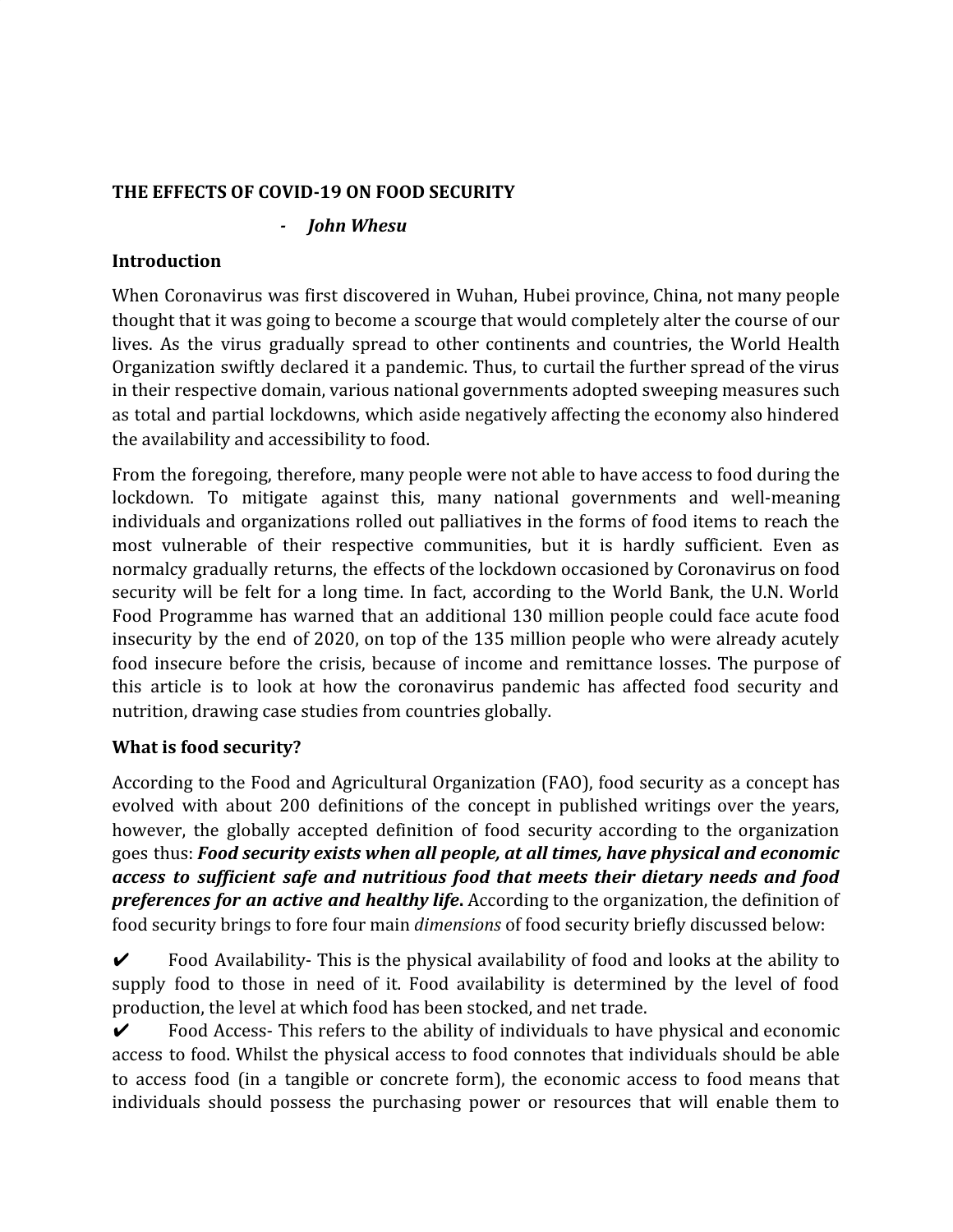### **THE EFFECTS OF COVID-19 ON FOOD SECURITY**

#### *- John Whesu*

### **Introduction**

When Coronavirus was first discovered in Wuhan, Hubei province, China, not many people thought that it was going to become a scourge that would completely alter the course of our lives. As the virus gradually spread to other continents and countries, the World Health Organization swiftly declared it a pandemic. Thus, to curtail the further spread of the virus in their respective domain, various national governments adopted sweeping measures such as total and partial lockdowns, which aside negatively affecting the economy also hindered the availability and accessibility to food.

From the foregoing, therefore, many people were not able to have access to food during the lockdown. To mitigate against this, many national governments and well-meaning individuals and organizations rolled out palliatives in the forms of food items to reach the most vulnerable of their respective communities, but it is hardly sufficient. Even as normalcy gradually returns, the effects of the lockdown occasioned by Coronavirus on food security will be felt for a long time. In fact, according to the World Bank, the U.N. World Food Programme has warned that an additional 130 million people could face acute food insecurity by the end of 2020, on top of the 135 million people who were already acutely food insecure before the crisis, because of income and remittance losses. The purpose of this article is to look at how the coronavirus pandemic has affected food security and nutrition, drawing case studies from countries globally.

#### **What is food security?**

According to the Food and Agricultural Organization (FAO), food security as a concept has evolved with about 200 definitions of the concept in published writings over the years, however, the globally accepted definition of food security according to the organization goes thus: *Food security exists when all people, at all times, have physical and economic access to sufficient safe and nutritious food that meets their dietary needs and food preferences for an active and healthy life***.** According to the organization, the definition of food security brings to fore four main *dimensions* of food security briefly discussed below:

 $\triangledown$  Food Availability-This is the physical availability of food and looks at the ability to supply food to those in need of it. Food availability is determined by the level of food production, the level at which food has been stocked, and net trade.

 $\triangledown$  Food Access- This refers to the ability of individuals to have physical and economic access to food. Whilst the physical access to food connotes that individuals should be able to access food (in a tangible or concrete form), the economic access to food means that individuals should possess the purchasing power or resources that will enable them to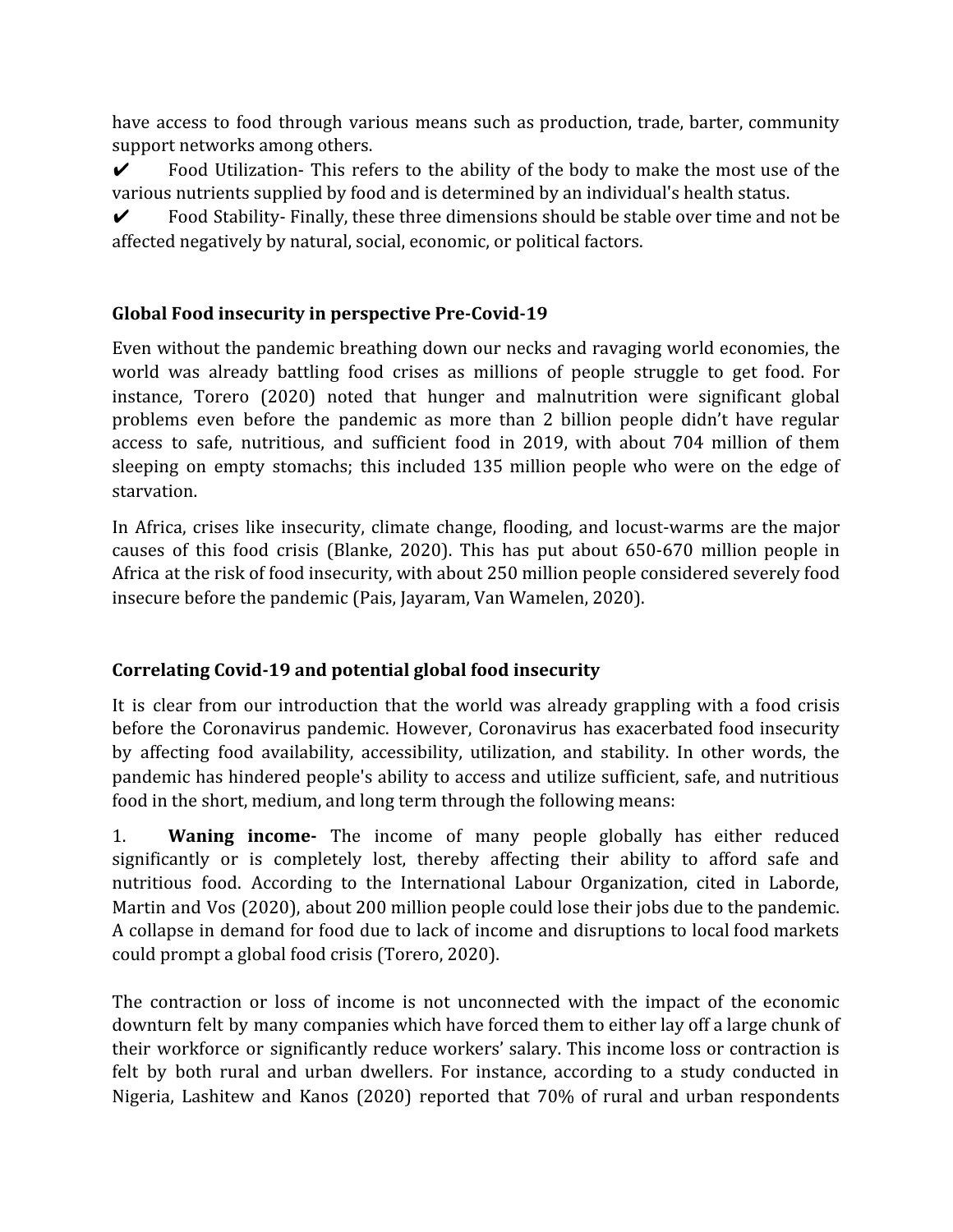have access to food through various means such as production, trade, barter, community support networks among others.

✔ Food Utilization- This refers to the ability of the body to make the most use of the various nutrients supplied by food and is determined by an individual's health status.

 $\checkmark$  Food Stability-Finally, these three dimensions should be stable over time and not be affected negatively by natural, social, economic, or political factors.

# **Global Food insecurity in perspective Pre-Covid-19**

Even without the pandemic breathing down our necks and ravaging world economies, the world was already battling food crises as millions of people struggle to get food. For instance, Torero (2020) noted that hunger and malnutrition were significant global problems even before the pandemic as more than 2 billion people didn't have regular access to safe, nutritious, and sufficient food in 2019, with about 704 million of them sleeping on empty stomachs; this included 135 million people who were on the edge of starvation.

In Africa, crises like insecurity, climate change, flooding, and locust-warms are the major causes of this food crisis (Blanke, 2020). This has put about 650-670 million people in Africa at the risk of food insecurity, with about 250 million people considered severely food insecure before the pandemic (Pais, Jayaram, Van Wamelen, 2020).

# **Correlating Covid-19 and potential global food insecurity**

It is clear from our introduction that the world was already grappling with a food crisis before the Coronavirus pandemic. However, Coronavirus has exacerbated food insecurity by affecting food availability, accessibility, utilization, and stability. In other words, the pandemic has hindered people's ability to access and utilize sufficient, safe, and nutritious food in the short, medium, and long term through the following means:

1. **Waning income-** The income of many people globally has either reduced significantly or is completely lost, thereby affecting their ability to afford safe and nutritious food. According to the International Labour Organization, cited in Laborde, Martin and Vos (2020), about 200 million people could lose their jobs due to the pandemic. A collapse in demand for food due to lack of income and disruptions to local food markets could prompt a global food crisis (Torero, 2020).

The contraction or loss of income is not unconnected with the impact of the economic downturn felt by many companies which have forced them to either lay off a large chunk of their workforce or significantly reduce workers' salary. This income loss or contraction is felt by both rural and urban dwellers. For instance, according to a study conducted in Nigeria, Lashitew and Kanos (2020) reported that 70% of rural and urban respondents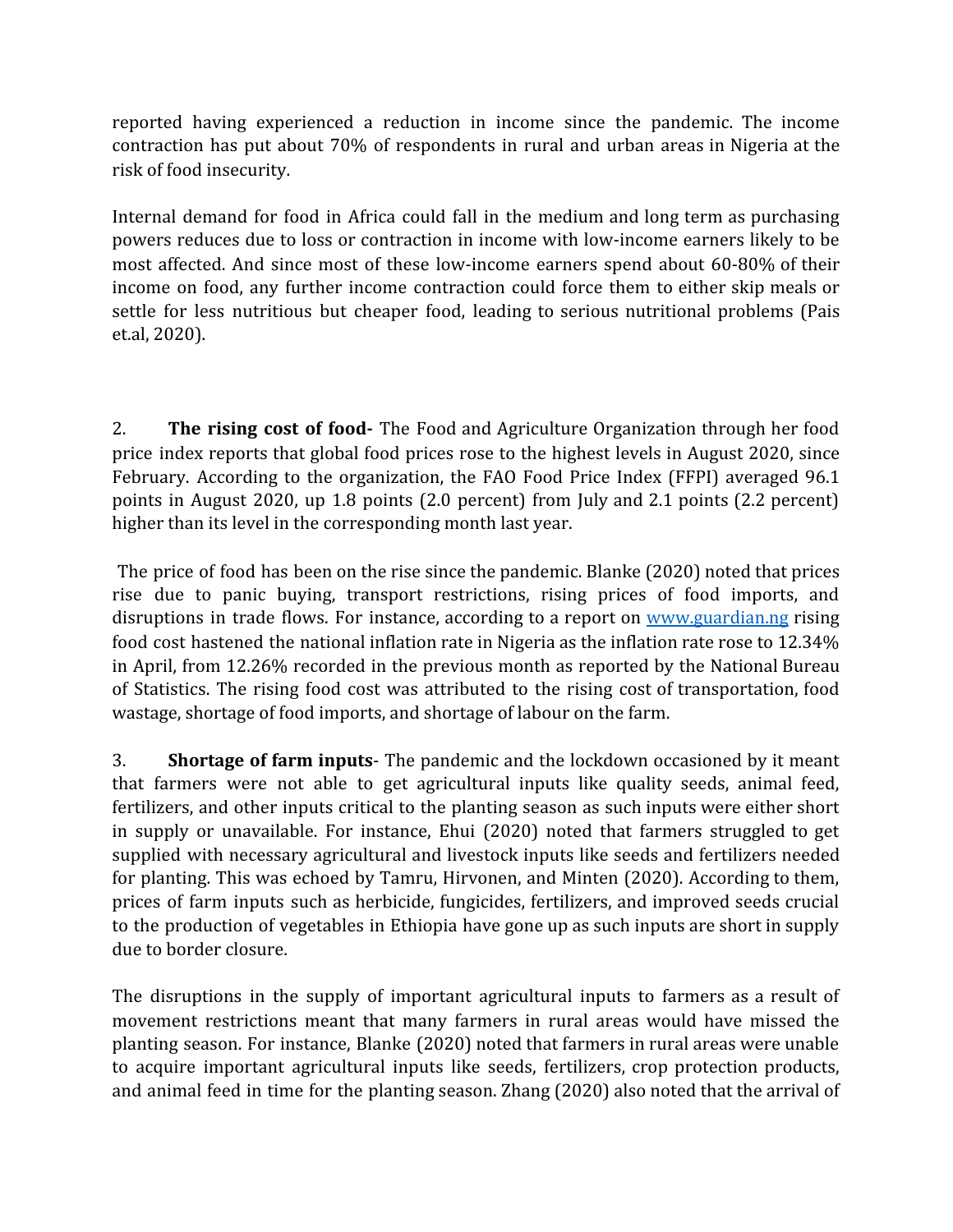reported having experienced a reduction in income since the pandemic. The income contraction has put about 70% of respondents in rural and urban areas in Nigeria at the risk of food insecurity.

Internal demand for food in Africa could fall in the medium and long term as purchasing powers reduces due to loss or contraction in income with low-income earners likely to be most affected. And since most of these low-income earners spend about 60-80% of their income on food, any further income contraction could force them to either skip meals or settle for less nutritious but cheaper food, leading to serious nutritional problems (Pais et.al, 2020).

2. **The rising cost of food-** The Food and Agriculture Organization through her food price index reports that global food prices rose to the highest levels in August 2020, since February. According to the organization, the FAO Food Price Index (FFPI) averaged 96.1 points in August 2020, up 1.8 points (2.0 percent) from July and 2.1 points (2.2 percent) higher than its level in the corresponding month last year.

The price of food has been on the rise since the pandemic. Blanke (2020) noted that prices rise due to panic buying, transport restrictions, rising prices of food imports, and disruptions in trade flows. For instance, according to a report on [www.guardian.ng](http://www.guardian.ng/) rising food cost hastened the national inflation rate in Nigeria as the inflation rate rose to 12.34% in April, from 12.26% recorded in the previous month as reported by the National Bureau of Statistics. The rising food cost was attributed to the rising cost of transportation, food wastage, shortage of food imports, and shortage of labour on the farm.

3. **Shortage of farm inputs**- The pandemic and the lockdown occasioned by it meant that farmers were not able to get agricultural inputs like quality seeds, animal feed, fertilizers, and other inputs critical to the planting season as such inputs were either short in supply or unavailable. For instance, Ehui (2020) noted that farmers struggled to get supplied with necessary agricultural and livestock inputs like seeds and fertilizers needed for planting. This was echoed by Tamru, Hirvonen, and Minten (2020). According to them, prices of farm inputs such as herbicide, fungicides, fertilizers, and improved seeds crucial to the production of vegetables in Ethiopia have gone up as such inputs are short in supply due to border closure.

The disruptions in the supply of important agricultural inputs to farmers as a result of movement restrictions meant that many farmers in rural areas would have missed the planting season. For instance, Blanke (2020) noted that farmers in rural areas were unable to acquire important agricultural inputs like seeds, fertilizers, crop protection products, and animal feed in time for the planting season. Zhang (2020) also noted that the arrival of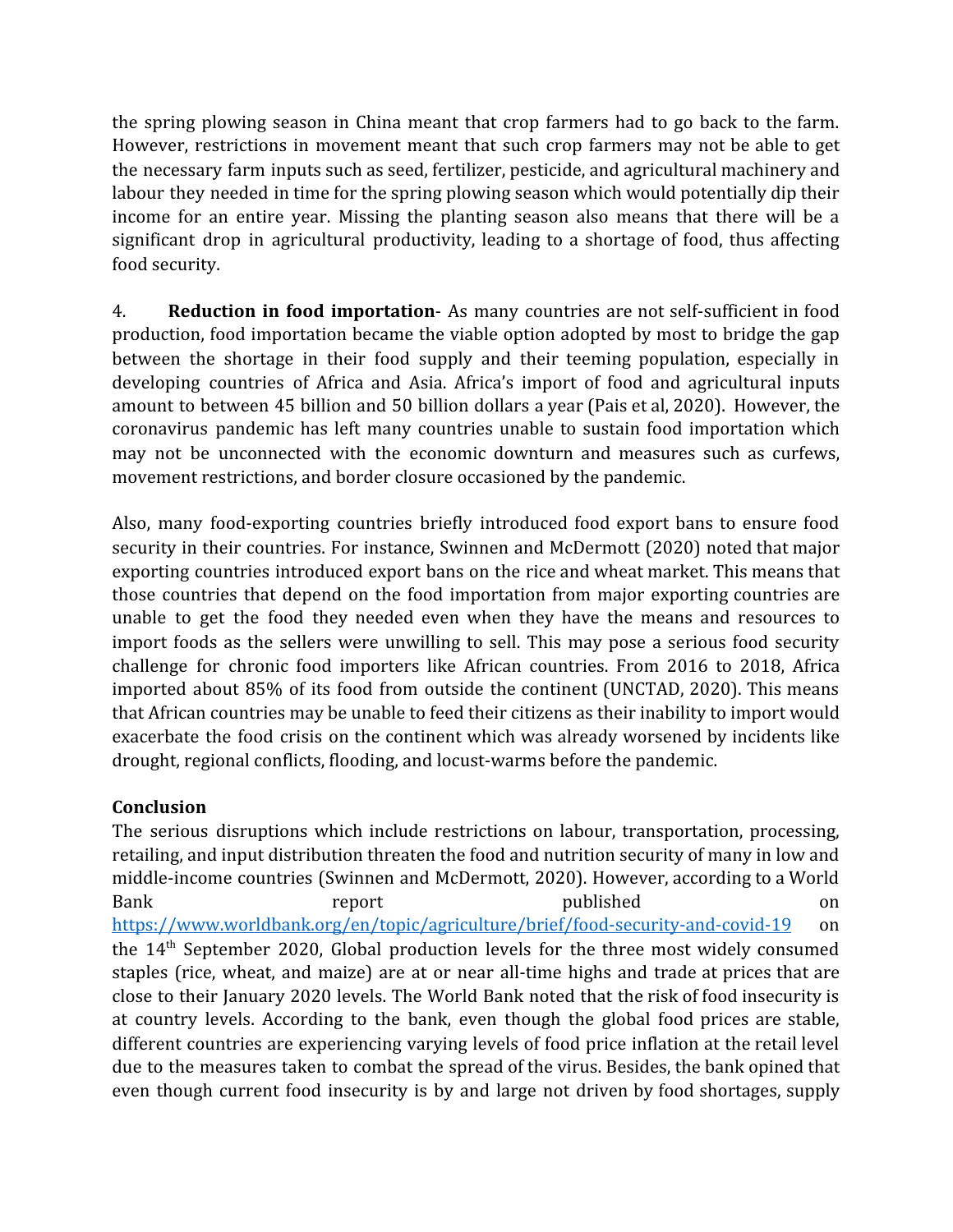the spring plowing season in China meant that crop farmers had to go back to the farm. However, restrictions in movement meant that such crop farmers may not be able to get the necessary farm inputs such as seed, fertilizer, pesticide, and agricultural machinery and labour they needed in time for the spring plowing season which would potentially dip their income for an entire year. Missing the planting season also means that there will be a significant drop in agricultural productivity, leading to a shortage of food, thus affecting food security.

4. **Reduction in food importation**- As many countries are not self-sufficient in food production, food importation became the viable option adopted by most to bridge the gap between the shortage in their food supply and their teeming population, especially in developing countries of Africa and Asia. Africa's import of food and agricultural inputs amount to between 45 billion and 50 billion dollars a year (Pais et al, 2020). However, the coronavirus pandemic has left many countries unable to sustain food importation which may not be unconnected with the economic downturn and measures such as curfews, movement restrictions, and border closure occasioned by the pandemic.

Also, many food-exporting countries briefly introduced food export bans to ensure food security in their countries. For instance, Swinnen and McDermott (2020) noted that major exporting countries introduced export bans on the rice and wheat market. This means that those countries that depend on the food importation from major exporting countries are unable to get the food they needed even when they have the means and resources to import foods as the sellers were unwilling to sell. This may pose a serious food security challenge for chronic food importers like African countries. From 2016 to 2018, Africa imported about 85% of its food from outside the continent (UNCTAD, 2020). This means that African countries may be unable to feed their citizens as their inability to import would exacerbate the food crisis on the continent which was already worsened by incidents like drought, regional conflicts, flooding, and locust-warms before the pandemic.

# **Conclusion**

The serious disruptions which include restrictions on labour, transportation, processing, retailing, and input distribution threaten the food and nutrition security of many in low and middle-income countries (Swinnen and McDermott, 2020). However, according to a World Bank report published on <https://www.worldbank.org/en/topic/agriculture/brief/food-security-and-covid-19> on the 14th September 2020, Global production levels for the three most widely consumed staples (rice, wheat, and maize) are at or near all-time highs and trade at prices that are close to their January 2020 levels. The World Bank noted that the risk of food insecurity is at country levels. According to the bank, even though the global food prices are stable, different countries are experiencing varying levels of food price inflation at the retail level due to the measures taken to combat the spread of the virus. Besides, the bank opined that even though current food insecurity is by and large not driven by food shortages, supply